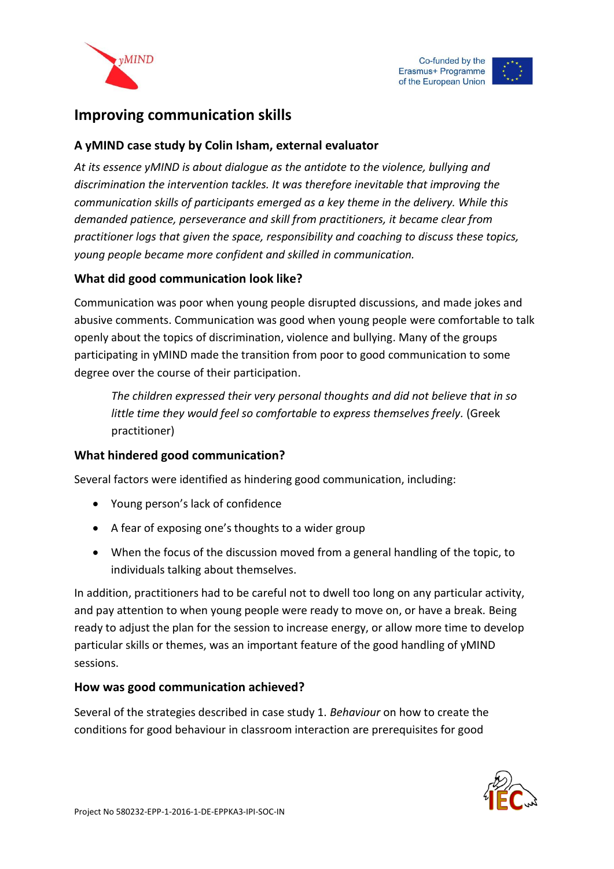





# **Improving communication skills**

### **A yMIND case study by Colin Isham, external evaluator**

*At its essence yMIND is about dialogue as the antidote to the violence, bullying and discrimination the intervention tackles. It was therefore inevitable that improving the communication skills of participants emerged as a key theme in the delivery. While this demanded patience, perseverance and skill from practitioners, it became clear from practitioner logs that given the space, responsibility and coaching to discuss these topics, young people became more confident and skilled in communication.* 

## **What did good communication look like?**

Communication was poor when young people disrupted discussions, and made jokes and abusive comments. Communication was good when young people were comfortable to talk openly about the topics of discrimination, violence and bullying. Many of the groups participating in yMIND made the transition from poor to good communication to some degree over the course of their participation.

*The children expressed their very personal thoughts and did not believe that in so little time they would feel so comfortable to express themselves freely.* (Greek practitioner)

#### **What hindered good communication?**

Several factors were identified as hindering good communication, including:

- Young person's lack of confidence
- A fear of exposing one's thoughts to a wider group
- When the focus of the discussion moved from a general handling of the topic, to individuals talking about themselves.

In addition, practitioners had to be careful not to dwell too long on any particular activity, and pay attention to when young people were ready to move on, or have a break. Being ready to adjust the plan for the session to increase energy, or allow more time to develop particular skills or themes, was an important feature of the good handling of yMIND sessions.

#### **How was good communication achieved?**

Several of the strategies described in case study 1. *Behaviour* on how to create the conditions for good behaviour in classroom interaction are prerequisites for good